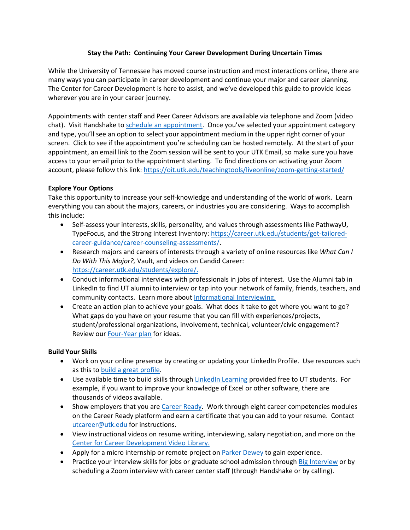# **Stay the Path: Continuing Your Career Development During Uncertain Times**

While the University of Tennessee has moved course instruction and most interactions online, there are many ways you can participate in career development and continue your major and career planning. The Center for Career Development is here to assist, and we've developed this guide to provide ideas wherever you are in your career journey.

Appointments with center staff and Peer Career Advisors are available via telephone and Zoom (video chat). Visit Handshake to [schedule an appointment.](https://utk.joinhandshake.com/appointments?lor=2&utm_source=mass_mailer&utm_medium=email&utm_campaign=uni_targeted_emails) Once you've selected your appointment category and type, you'll see an option to select your appointment medium in the upper right corner of your screen. Click to see if the appointment you're scheduling can be hosted remotely. At the start of your appointment, an email link to the Zoom session will be sent to your UTK Email, so make sure you have access to your email prior to the appointment starting. To find directions on activating your Zoom account, please follow this link[: https://oit.utk.edu/teachingtools/liveonline/zoom-getting-started/](https://oit.utk.edu/teachingtools/liveonline/zoom-getting-started/?lor=0&utm_source=mass_mailer&utm_medium=email&utm_campaign=uni_targeted_emails)

# **Explore Your Options**

Take this opportunity to increase your self-knowledge and understanding of the world of work. Learn everything you can about the majors, careers, or industries you are considering. Ways to accomplish this include:

- Self-assess your interests, skills, personality, and values through assessments like PathwayU, TypeFocus, and the Strong Interest Inventory: [https://career.utk.edu/students/get-tailored](https://career.utk.edu/students/get-tailored-career-guidance/career-counseling-assessments/)[career-guidance/career-counseling-assessments/.](https://career.utk.edu/students/get-tailored-career-guidance/career-counseling-assessments/)
- Research majors and careers of interests through a variety of online resources like *What Can I Do With This Major?,* Vault, and videos on Candid Career: [https://career.utk.edu/students/explore/.](https://career.utk.edu/students/explore/)
- Conduct informational interviews with professionals in jobs of interest. Use the Alumni tab in LinkedIn to find UT alumni to interview or tap into your network of family, friends, teachers, and community contacts. Learn more abou[t Informational Interviewing.](https://career.utk.edu/wp-content/uploads/sites/56/2019/12/Informational-Interview-Assignment.pdf)
- Create an action plan to achieve your goals. What does it take to get where you want to go? What gaps do you have on your resume that you can fill with experiences/projects, student/professional organizations, involvement, technical, volunteer/civic engagement? Review ou[r Four-Year plan](https://career.utk.edu/wp-content/uploads/sites/56/2019/03/Four-Year-Plan-2019.pdf) for ideas.

### **Build Your Skills**

- Work on your online presence by creating or updating your LinkedIn Profile. Use resources such as this to [build a great profile.](https://university.linkedin.com/linkedin-for-students)
- Use available time to build skills through [LinkedIn Learning](https://oit.utk.edu/training/online-training/linkedinlearning/) provided free to UT students. For example, if you want to improve your knowledge of Excel or other software, there are thousands of videos available.
- Show employers that you ar[e Career Ready.](https://career.utk.edu/career-ready/) Work through eight career competencies modules on the Career Ready platform and earn a certificate that you can add to your resume. Contact [utcareer@utk.edu](mailto:utcareer@utk.edu) for instructions.
- View instructional videos on resume writing, interviewing, salary negotiation, and more on the [Center for Career Development Video Library.](https://career.utk.edu/video-playlist/?lor=5&utm_source=mass_mailer&utm_medium=email&utm_campaign=uni_targeted_emails)
- Apply for a micro internship or remote project on **Parker Dewey** to gain experience.
- Practice your interview skills for jobs or graduate school admission through [Big Interview](https://utk.biginterview.com/) or by scheduling a Zoom interview with career center staff (through Handshake or by calling).